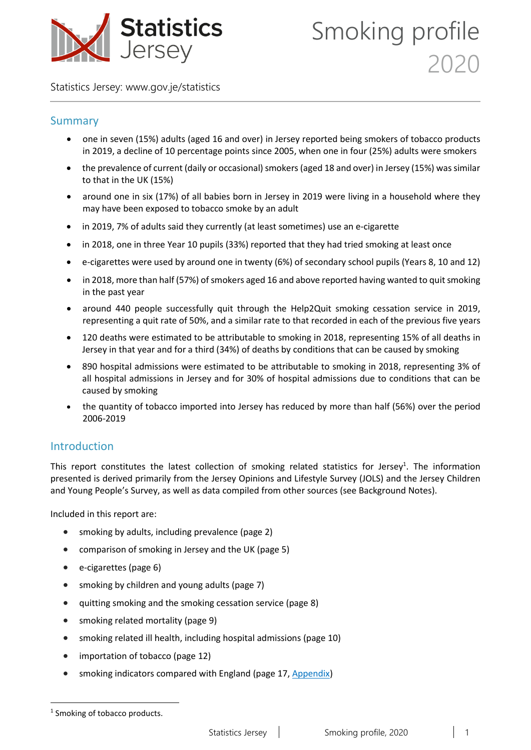

Statistics Jersey: [www.gov.je/statistics](https://www.gov.je/statistics)

#### Summary

- one in seven (15%) adults (aged 16 and over) in Jersey reported being smokers of tobacco products in 2019, a decline of 10 percentage points since 2005, when one in four (25%) adults were smokers
- the prevalence of current (daily or occasional) smokers (aged 18 and over) in Jersey (15%) was similar to that in the UK (15%)
- around one in six (17%) of all babies born in Jersey in 2019 were living in a household where they may have been exposed to tobacco smoke by an adult
- in 2019, 7% of adults said they currently (at least sometimes) use an e-cigarette
- in 2018, one in three Year 10 pupils (33%) reported that they had tried smoking at least once
- e-cigarettes were used by around one in twenty (6%) of secondary school pupils (Years 8, 10 and 12)
- in 2018, more than half (57%) of smokers aged 16 and above reported having wanted to quit smoking in the past year
- around 440 people successfully quit through the Help2Quit smoking cessation service in 2019, representing a quit rate of 50%, and a similar rate to that recorded in each of the previous five years
- 120 deaths were estimated to be attributable to smoking in 2018, representing 15% of all deaths in Jersey in that year and for a third (34%) of deaths by conditions that can be caused by smoking
- 890 hospital admissions were estimated to be attributable to smoking in 2018, representing 3% of all hospital admissions in Jersey and for 30% of hospital admissions due to conditions that can be caused by smoking
- the quantity of tobacco imported into Jersey has reduced by more than half (56%) over the period 2006-2019

### Introduction

This report constitutes the latest collection of smoking related statistics for Jersey<sup>1</sup>. The information presented is derived primarily from the Jersey Opinions and Lifestyle Survey (JOLS) and the Jersey Children and Young People's Survey, as well as data compiled from other sources (see Background Notes).

Included in this report are:

- smoking by adults, including prevalence (page 2)
- comparison of smoking in Jersey and the UK (page 5)
- e-cigarettes (page 6)
- smoking by children and young adults (page 7)
- quitting smoking and the smoking cessation service (page 8)
- smoking related mortality (page 9)
- smoking related ill health, including hospital admissions (page 10)
- importation of tobacco (page 12)
- smoking indicators compared with England (page 17, Appendix)

**.** 

<sup>&</sup>lt;sup>1</sup> Smoking of tobacco products.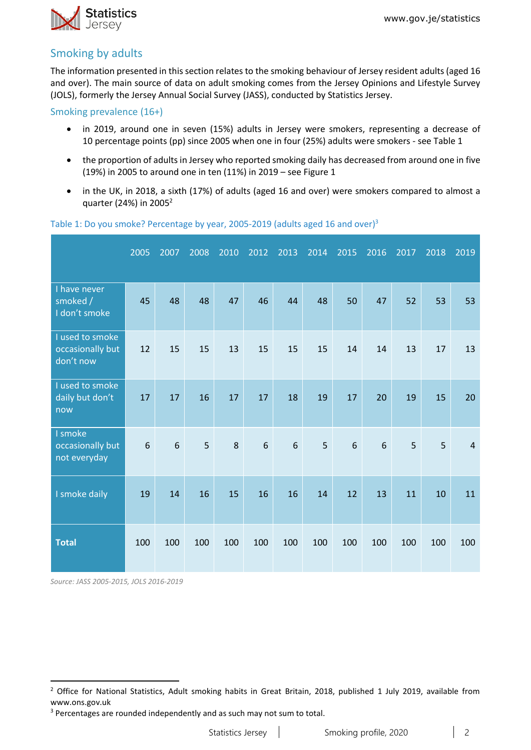

### Smoking by adults

The information presented in this section relates to the smoking behaviour of Jersey resident adults (aged 16 and over). The main source of data on adult smoking comes from the Jersey Opinions and Lifestyle Survey (JOLS), formerly the Jersey Annual Social Survey (JASS), conducted by Statistics Jersey.

Smoking prevalence (16+)

- in 2019, around one in seven (15%) adults in Jersey were smokers, representing a decrease of 10 percentage points (pp) since 2005 when one in four (25%) adults were smokers - see Table 1
- the proportion of adults in Jersey who reported smoking daily has decreased from around one in five (19%) in 2005 to around one in ten (11%) in 2019 – see Figure 1
- in the UK, in 2018, a sixth (17%) of adults (aged 16 and over) were smokers compared to almost a quarter (24%) in 2005<sup>2</sup>

|                                                  | 2005 | 2007 | 2008 | 2010 | 2012 | 2013 | 2014 | 2015 | 2016 | 2017 | 2018 | 2019           |
|--------------------------------------------------|------|------|------|------|------|------|------|------|------|------|------|----------------|
| I have never<br>smoked /<br>I don't smoke        | 45   | 48   | 48   | 47   | 46   | 44   | 48   | 50   | 47   | 52   | 53   | 53             |
| I used to smoke<br>occasionally but<br>don't now | 12   | 15   | 15   | 13   | 15   | 15   | 15   | 14   | 14   | 13   | 17   | 13             |
| I used to smoke<br>daily but don't<br>now        | 17   | 17   | 16   | 17   | 17   | 18   | 19   | 17   | 20   | 19   | 15   | 20             |
| I smoke<br>occasionally but<br>not everyday      | 6    | 6    | 5    | 8    | 6    | 6    | 5    | 6    | 6    | 5    | 5    | $\overline{4}$ |
| I smoke daily                                    | 19   | 14   | 16   | 15   | 16   | 16   | 14   | 12   | 13   | 11   | 10   | 11             |
| <b>Total</b>                                     | 100  | 100  | 100  | 100  | 100  | 100  | 100  | 100  | 100  | 100  | 100  | 100            |

#### Table 1: Do you smoke? Percentage by year, 2005-2019 (adults aged 16 and over)<sup>3</sup>

*Source: JASS 2005-2015, JOLS 2016-2019*

1

<sup>&</sup>lt;sup>2</sup> Office for National Statistics, Adult smoking habits in Great Britain, 2018, published 1 July 2019, available from www.ons.gov.uk

<sup>&</sup>lt;sup>3</sup> Percentages are rounded independently and as such may not sum to total.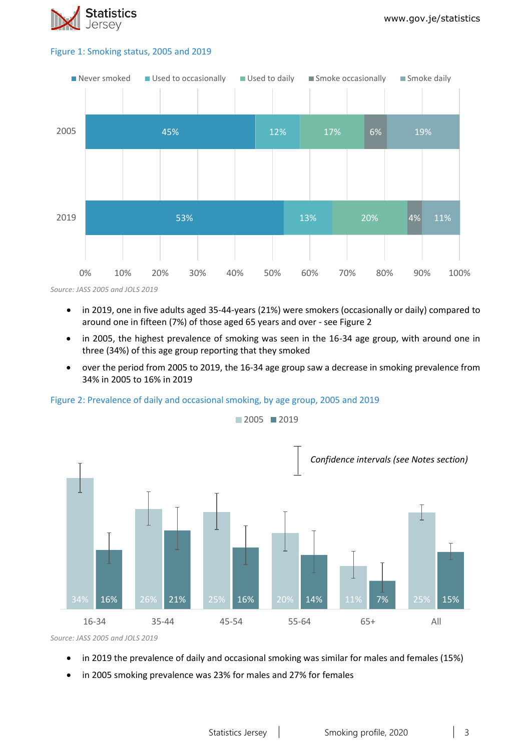

#### Figure 1: Smoking status, 2005 and 2019



*Source: JASS 2005 and JOLS 2019*

- in 2019, one in five adults aged 35-44-years (21%) were smokers (occasionally or daily) compared to around one in fifteen (7%) of those aged 65 years and over - see Figure 2
- in 2005, the highest prevalence of smoking was seen in the 16-34 age group, with around one in three (34%) of this age group reporting that they smoked
- over the period from 2005 to 2019, the 16-34 age group saw a decrease in smoking prevalence from 34% in 2005 to 16% in 2019





■2005 ■2019

*Source: JASS 2005 and JOLS 2019*

- in 2019 the prevalence of daily and occasional smoking was similar for males and females (15%)
- in 2005 smoking prevalence was 23% for males and 27% for females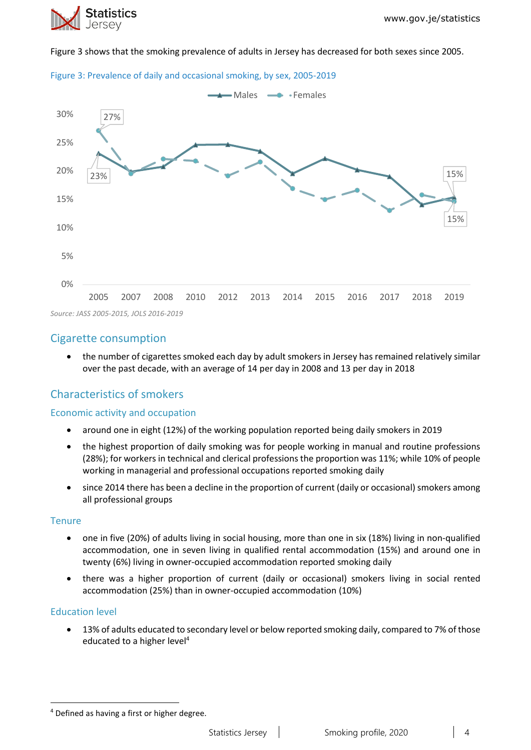

Figure 3 shows that the smoking prevalence of adults in Jersey has decreased for both sexes since 2005.





*Source: JASS 2005-2015, JOLS 2016-2019*

### Cigarette consumption

• the number of cigarettes smoked each day by adult smokers in Jersey has remained relatively similar over the past decade, with an average of 14 per day in 2008 and 13 per day in 2018

### Characteristics of smokers

#### Economic activity and occupation

- around one in eight (12%) of the working population reported being daily smokers in 2019
- the highest proportion of daily smoking was for people working in manual and routine professions (28%); for workers in technical and clerical professions the proportion was 11%; while 10% of people working in managerial and professional occupations reported smoking daily
- since 2014 there has been a decline in the proportion of current (daily or occasional) smokers among all professional groups

#### **Tenure**

- one in five (20%) of adults living in social housing, more than one in six (18%) living in non-qualified accommodation, one in seven living in qualified rental accommodation (15%) and around one in twenty (6%) living in owner-occupied accommodation reported smoking daily
- there was a higher proportion of current (daily or occasional) smokers living in social rented accommodation (25%) than in owner-occupied accommodation (10%)

#### Education level

**.** 

• 13% of adults educated to secondary level or below reported smoking daily, compared to 7% of those educated to a higher level<sup>4</sup>

<sup>4</sup> Defined as having a first or higher degree.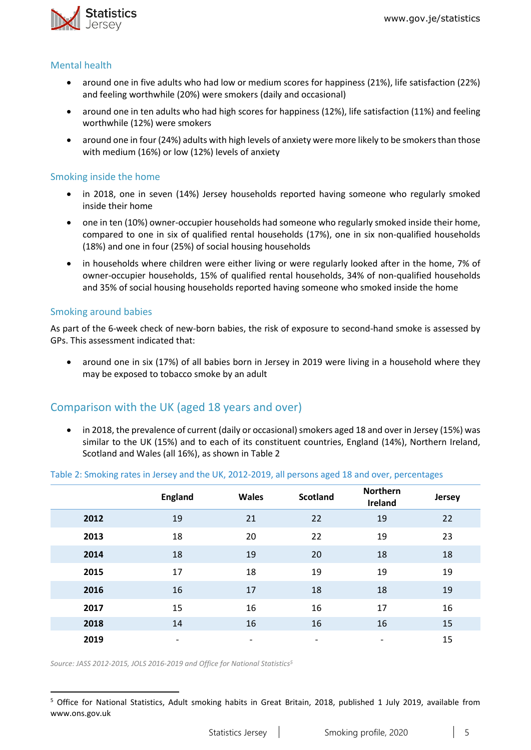

#### Mental health

- around one in five adults who had low or medium scores for happiness (21%), life satisfaction (22%) and feeling worthwhile (20%) were smokers (daily and occasional)
- around one in ten adults who had high scores for happiness (12%), life satisfaction (11%) and feeling worthwhile (12%) were smokers
- around one in four (24%) adults with high levels of anxiety were more likely to be smokers than those with medium (16%) or low (12%) levels of anxiety

#### Smoking inside the home

- in 2018, one in seven (14%) Jersey households reported having someone who regularly smoked inside their home
- one in ten (10%) owner-occupier households had someone who regularly smoked inside their home, compared to one in six of qualified rental households (17%), one in six non-qualified households (18%) and one in four (25%) of social housing households
- in households where children were either living or were regularly looked after in the home, 7% of owner-occupier households, 15% of qualified rental households, 34% of non-qualified households and 35% of social housing households reported having someone who smoked inside the home

#### Smoking around babies

**.** 

As part of the 6-week check of new-born babies, the risk of exposure to second-hand smoke is assessed by GPs. This assessment indicated that:

• around one in six (17%) of all babies born in Jersey in 2019 were living in a household where they may be exposed to tobacco smoke by an adult

### Comparison with the UK (aged 18 years and over)

• in 2018, the prevalence of current (daily or occasional) smokers aged 18 and over in Jersey (15%) was similar to the UK (15%) and to each of its constituent countries, England (14%), Northern Ireland, Scotland and Wales (all 16%), as shown in Table 2

#### Table 2: Smoking rates in Jersey and the UK, 2012-2019, all persons aged 18 and over, percentages

|      | <b>England</b> | <b>Wales</b>             | <b>Scotland</b>          | <b>Northern</b><br>Ireland | Jersey |
|------|----------------|--------------------------|--------------------------|----------------------------|--------|
| 2012 | 19             | 21                       | 22                       | 19                         | 22     |
| 2013 | 18             | 20                       | 22                       | 19                         | 23     |
| 2014 | 18             | 19                       | 20                       | 18                         | 18     |
| 2015 | 17             | 18                       | 19                       | 19                         | 19     |
| 2016 | 16             | 17                       | 18                       | 18                         | 19     |
| 2017 | 15             | 16                       | 16                       | 17                         | 16     |
| 2018 | 14             | 16                       | 16                       | 16                         | 15     |
| 2019 | -              | $\overline{\phantom{a}}$ | $\overline{\phantom{a}}$ | $\overline{\phantom{a}}$   | 15     |

*Source: JASS 2012-2015, JOLS 2016-2019 and Office for National Statistics<sup>5</sup>*

<sup>&</sup>lt;sup>5</sup> Office for National Statistics, Adult smoking habits in Great Britain, 2018, published 1 July 2019, available from www.ons.gov.uk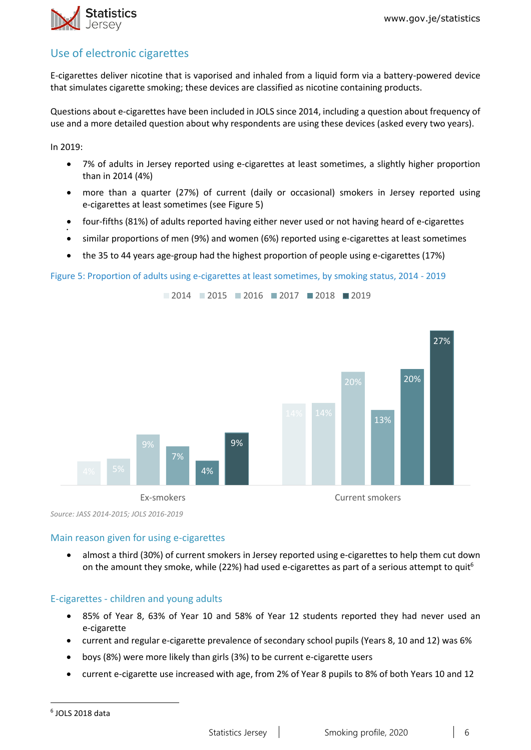### Use of electronic cigarettes

E-cigarettes deliver nicotine that is vaporised and inhaled from a liquid form via a battery-powered device that simulates cigarette smoking; these devices are classified as nicotine containing products.

Questions about e-cigarettes have been included in JOLS since 2014, including a question about frequency of use and a more detailed question about why respondents are using these devices (asked every two years).

In 2019:

•

- 7% of adults in Jersey reported using e-cigarettes at least sometimes, a slightly higher proportion than in 2014 (4%)
- more than a quarter (27%) of current (daily or occasional) smokers in Jersey reported using e-cigarettes at least sometimes (see Figure 5)
- four-fifths (81%) of adults reported having either never used or not having heard of e-cigarettes
- similar proportions of men (9%) and women (6%) reported using e-cigarettes at least sometimes

2014 2015 2016 2017 2018 2019

• the 35 to 44 years age-group had the highest proportion of people using e-cigarettes (17%)

#### Figure 5: Proportion of adults using e-cigarettes at least sometimes, by smoking status, 2014 - 2019



*Source: JASS 2014-2015; JOLS 2016-2019*

#### Main reason given for using e-cigarettes

• almost a third (30%) of current smokers in Jersey reported using e-cigarettes to help them cut down on the amount they smoke, while (22%) had used e-cigarettes as part of a serious attempt to quit<sup>6</sup>

#### E-cigarettes - children and young adults

- 85% of Year 8, 63% of Year 10 and 58% of Year 12 students reported they had never used an e-cigarette
- current and regular e-cigarette prevalence of secondary school pupils (Years 8, 10 and 12) was 6%
- boys (8%) were more likely than girls (3%) to be current e-cigarette users
- current e-cigarette use increased with age, from 2% of Year 8 pupils to 8% of both Years 10 and 12

**.**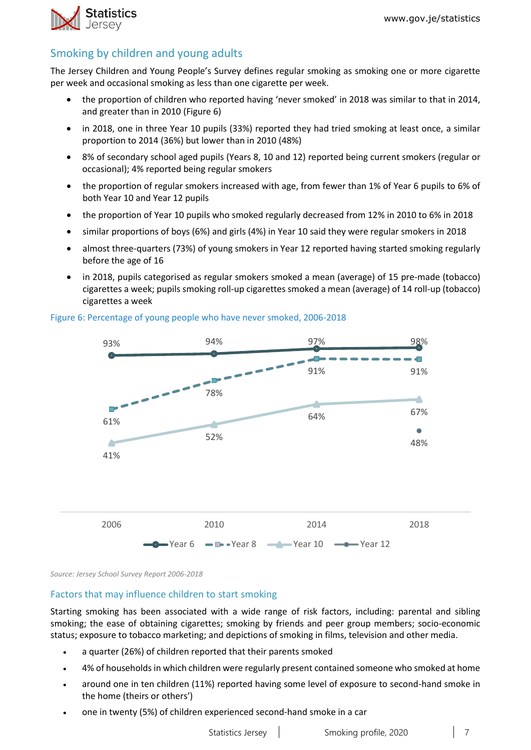

### Smoking by children and young adults

The Jersey Children and Young People's Survey defines regular smoking as smoking one or more cigarette per week and occasional smoking as less than one cigarette per week.

- the proportion of children who reported having 'never smoked' in 2018 was similar to that in 2014, and greater than in 2010 (Figure 6)
- in 2018, one in three Year 10 pupils (33%) reported they had tried smoking at least once, a similar proportion to 2014 (36%) but lower than in 2010 (48%)
- 8% of secondary school aged pupils (Years 8, 10 and 12) reported being current smokers (regular or occasional); 4% reported being regular smokers
- the proportion of regular smokers increased with age, from fewer than 1% of Year 6 pupils to 6% of both Year 10 and Year 12 pupils
- the proportion of Year 10 pupils who smoked regularly decreased from 12% in 2010 to 6% in 2018
- similar proportions of boys (6%) and girls (4%) in Year 10 said they were regular smokers in 2018
- almost three-quarters (73%) of young smokers in Year 12 reported having started smoking regularly before the age of 16
- in 2018, pupils categorised as regular smokers smoked a mean (average) of 15 pre-made (tobacco) cigarettes a week; pupils smoking roll-up cigarettes smoked a mean (average) of 14 roll-up (tobacco) cigarettes a week



#### Figure 6: Percentage of young people who have never smoked, 2006-2018

*Source: Jersey School Survey Report 2006-2018*

#### Factors that may influence children to start smoking

Starting smoking has been associated with a wide range of risk factors, including: parental and sibling smoking; the ease of obtaining cigarettes; smoking by friends and peer group members; socio-economic status; exposure to tobacco marketing; and depictions of smoking in films, television and other media.

- a quarter (26%) of children reported that their parents smoked
- 4% of households in which children were regularly present contained someone who smoked at home
- around one in ten children (11%) reported having some level of exposure to second-hand smoke in the home (theirs or others')
- one in twenty (5%) of children experienced second-hand smoke in a car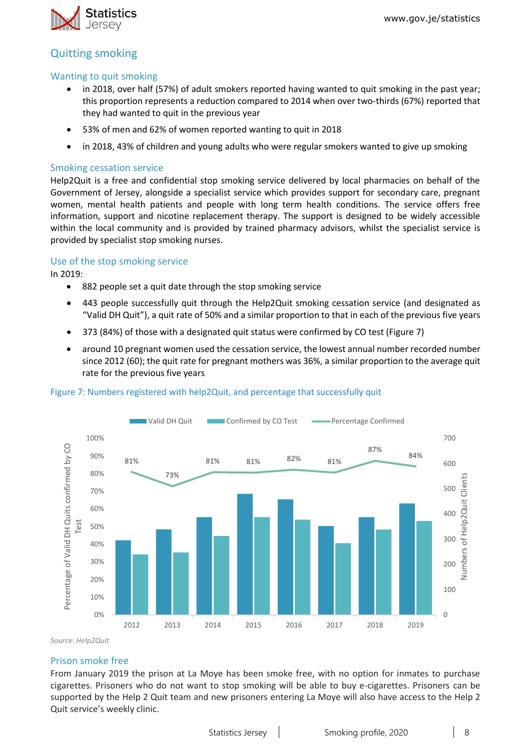

### Quitting smoking

#### Wanting to quit smoking

- in 2018, over half (57%) of adult smokers reported having wanted to quit smoking in the past year; this proportion represents a reduction compared to 2014 when over two-thirds (67%) reported that they had wanted to quit in the previous year
- 53% of men and 62% of women reported wanting to quit in 2018
- in 2018, 43% of children and young adults who were regular smokers wanted to give up smoking

#### Smoking cessation service

Help2Quit is a free and confidential stop smoking service delivered by local pharmacies on behalf of the Government of Jersey, alongside a specialist service which provides support for secondary care, pregnant women, mental health patients and people with long term health conditions. The service offers free information, support and nicotine replacement therapy. The support is designed to be widely accessible within the local community and is provided by trained pharmacy advisors, whilst the specialist service is provided by specialist stop smoking nurses.

#### Use of the stop smoking service

In 2019:

- 882 people set a quit date through the stop smoking service
- 443 people successfully quit through the Help2Quit smoking cessation service (and designated as "Valid DH Quit"), a quit rate of 50% and a similar proportion to that in each of the previous five years
- 373 (84%) of those with a designated quit status were confirmed by CO test (Figure 7)
- around 10 pregnant women used the cessation service, the lowest annual number recorded number since 2012 (60); the quit rate for pregnant mothers was 36%, a similar proportion to the average quit rate for the previous five years



#### Figure 7: Numbers registered with help2Quit, and percentage that successfully quit

*Source: Help2Quit*

#### Prison smoke free

From January 2019 the prison at La Moye has been smoke free, with no option for inmates to purchase cigarettes. Prisoners who do not want to stop smoking will be able to buy e-cigarettes. Prisoners can be supported by the Help 2 Quit team and new prisoners entering La Moye will also have access to the Help 2 Quit service's weekly clinic.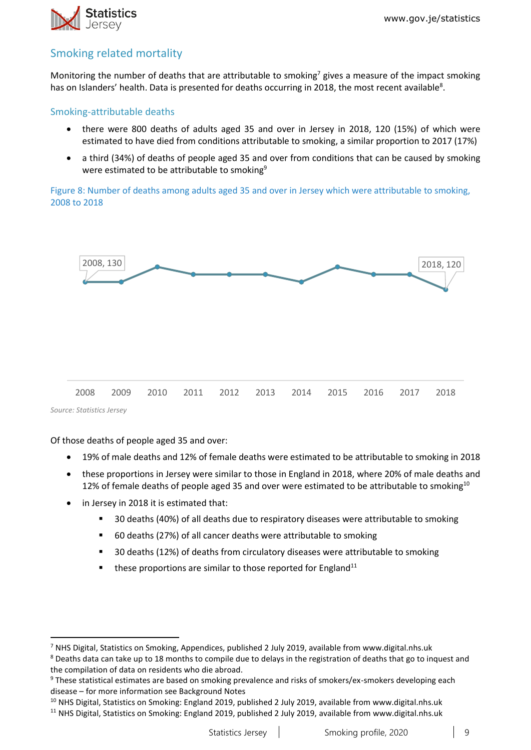

### Smoking related mortality

Monitoring the number of deaths that are attributable to smoking<sup>7</sup> gives a measure of the impact smoking has on Islanders' health. Data is presented for deaths occurring in 2018, the most recent available<sup>8</sup>.

#### Smoking-attributable deaths

- there were 800 deaths of adults aged 35 and over in Jersey in 2018, 120 (15%) of which were estimated to have died from conditions attributable to smoking, a similar proportion to 2017 (17%)
- a third (34%) of deaths of people aged 35 and over from conditions that can be caused by smoking were estimated to be attributable to smoking<sup>9</sup>

Figure 8: Number of deaths among adults aged 35 and over in Jersey which were attributable to smoking, 2008 to 2018



*Source: Statistics Jersey*

**.** 

Of those deaths of people aged 35 and over:

- 19% of male deaths and 12% of female deaths were estimated to be attributable to smoking in 2018
- these proportions in Jersey were similar to those in England in 2018, where 20% of male deaths and 12% of female deaths of people aged 35 and over were estimated to be attributable to smoking $10$
- in Jersey in 2018 it is estimated that:
	- 30 deaths (40%) of all deaths due to respiratory diseases were attributable to smoking
	- 60 deaths (27%) of all cancer deaths were attributable to smoking
	- 30 deaths (12%) of deaths from circulatory diseases were attributable to smoking
	- $\blacksquare$  these proportions are similar to those reported for England<sup>11</sup>

<sup>7</sup> NHS Digital, Statistics on Smoking, Appendices, published 2 July 2019, available from www.digital.nhs.uk

<sup>&</sup>lt;sup>8</sup> Deaths data can take up to 18 months to compile due to delays in the registration of deaths that go to inquest and the compilation of data on residents who die abroad.

<sup>9</sup> These statistical estimates are based on smoking prevalence and risks of smokers/ex-smokers developing each disease – for more information see Background Notes

<sup>&</sup>lt;sup>10</sup> NHS Digital, Statistics on Smoking: England 2019, published 2 July 2019, available from www.digital.nhs.uk

<sup>&</sup>lt;sup>11</sup> NHS Digital, Statistics on Smoking: England 2019, published 2 July 2019, available from www.digital.nhs.uk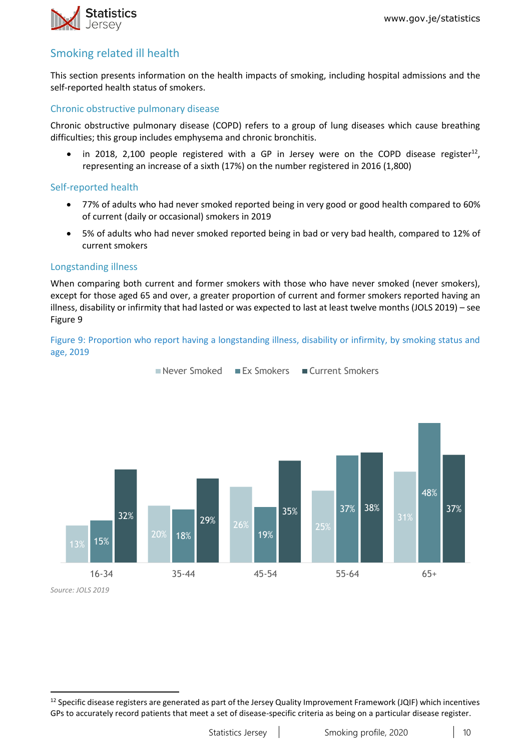

### Smoking related ill health

This section presents information on the health impacts of smoking, including hospital admissions and the self-reported health status of smokers.

#### Chronic obstructive pulmonary disease

Chronic obstructive pulmonary disease (COPD) refers to a group of lung diseases which cause breathing difficulties; this group includes emphysema and chronic bronchitis.

 $\bullet$  in 2018, 2,100 people registered with a GP in Jersey were on the COPD disease register<sup>12</sup>, representing an increase of a sixth (17%) on the number registered in 2016 (1,800)

#### Self-reported health

- 77% of adults who had never smoked reported being in very good or good health compared to 60% of current (daily or occasional) smokers in 2019
- 5% of adults who had never smoked reported being in bad or very bad health, compared to 12% of current smokers

#### Longstanding illness

When comparing both current and former smokers with those who have never smoked (never smokers), except for those aged 65 and over, a greater proportion of current and former smokers reported having an illness, disability or infirmity that had lasted or was expected to last at least twelve months (JOLS 2019) – see Figure 9

#### Figure 9: Proportion who report having a longstanding illness, disability or infirmity, by smoking status and age, 2019

Never Smoked Ex Smokers Current Smokers



*Source: JOLS 2019*

**.** 

 $12$  Specific disease registers are generated as part of the Jersey Quality Improvement Framework (JQIF) which incentives GPs to accurately record patients that meet a set of disease-specific criteria as being on a particular disease register.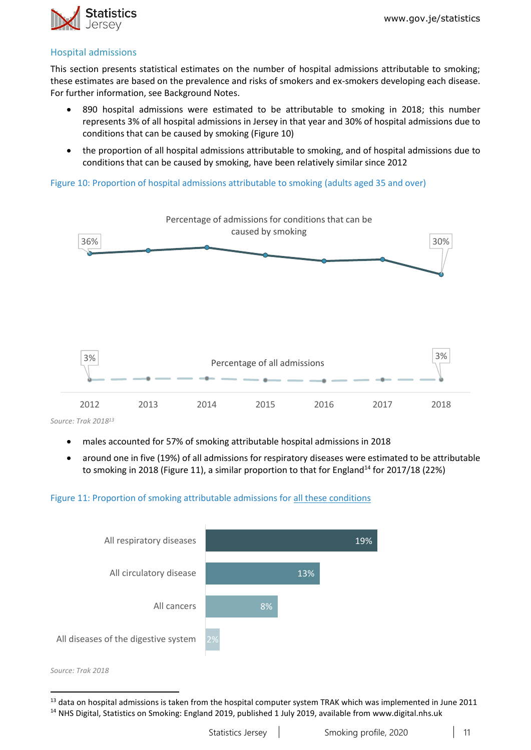

#### Hospital admissions

This section presents statistical estimates on the number of hospital admissions attributable to smoking; these estimates are based on the prevalence and risks of smokers and ex-smokers developing each disease. For further information, see Background Notes.

- 890 hospital admissions were estimated to be attributable to smoking in 2018; this number represents 3% of all hospital admissions in Jersey in that year and 30% of hospital admissions due to conditions that can be caused by smoking (Figure 10)
- the proportion of all hospital admissions attributable to smoking, and of hospital admissions due to conditions that can be caused by smoking, have been relatively similar since 2012

Figure 10: Proportion of hospital admissions attributable to smoking (adults aged 35 and over)



*Source: Trak 2018 13*

- males accounted for 57% of smoking attributable hospital admissions in 2018
- around one in five (19%) of all admissions for respiratory diseases were estimated to be attributable to smoking in 2018 (Figure 11), a similar proportion to that for England<sup>14</sup> for 2017/18 (22%)

#### Figure 11: Proportion of smoking attributable admissions for all these conditions



*Source: Trak 2018*

**.** 

 $13$  data on hospital admissions is taken from the hospital computer system TRAK which was implemented in June 2011 <sup>14</sup> NHS Digital, Statistics on Smoking: England 2019, published 1 July 2019, available from www.digital.nhs.uk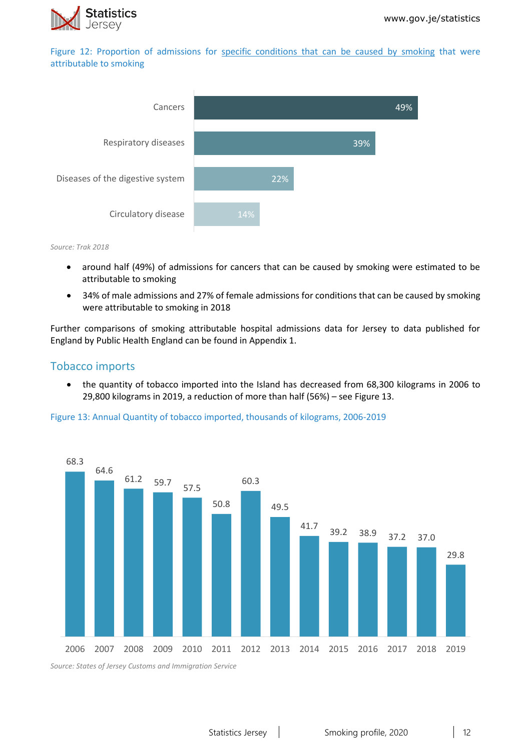

Figure 12: Proportion of admissions for specific conditions that can be caused by smoking that were attributable to smoking



*Source: Trak 2018*

- around half (49%) of admissions for cancers that can be caused by smoking were estimated to be attributable to smoking
- 34% of male admissions and 27% of female admissions for conditions that can be caused by smoking were attributable to smoking in 2018

Further comparisons of smoking attributable hospital admissions data for Jersey to data published for England by Public Health England can be found in Appendix 1.

#### Tobacco imports

• the quantity of tobacco imported into the Island has decreased from 68,300 kilograms in 2006 to 29,800 kilograms in 2019, a reduction of more than half (56%) – see Figure 13.

#### Figure 13: Annual Quantity of tobacco imported, thousands of kilograms, 2006-2019



*Source: States of Jersey Customs and Immigration Service*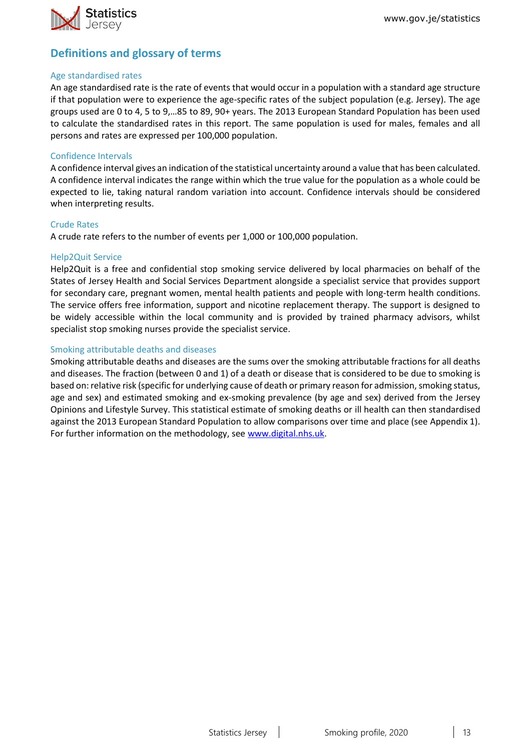

### **Definitions and glossary of terms**

#### Age standardised rates

An age standardised rate is the rate of events that would occur in a population with a standard age structure if that population were to experience the age-specific rates of the subject population (e.g. Jersey). The age groups used are 0 to 4, 5 to 9,…85 to 89, 90+ years. The 2013 European Standard Population has been used to calculate the standardised rates in this report. The same population is used for males, females and all persons and rates are expressed per 100,000 population.

#### Confidence Intervals

A confidence interval gives an indication of the statistical uncertainty around a value that has been calculated. A confidence interval indicates the range within which the true value for the population as a whole could be expected to lie, taking natural random variation into account. Confidence intervals should be considered when interpreting results.

#### Crude Rates

A crude rate refers to the number of events per 1,000 or 100,000 population.

#### Help2Quit Service

Help2Quit is a free and confidential stop smoking service delivered by local pharmacies on behalf of the States of Jersey Health and Social Services Department alongside a specialist service that provides support for secondary care, pregnant women, mental health patients and people with long-term health conditions. The service offers free information, support and nicotine replacement therapy. The support is designed to be widely accessible within the local community and is provided by trained pharmacy advisors, whilst specialist stop smoking nurses provide the specialist service.

#### Smoking attributable deaths and diseases

Smoking attributable deaths and diseases are the sums over the smoking attributable fractions for all deaths and diseases. The fraction (between 0 and 1) of a death or disease that is considered to be due to smoking is based on: relative risk (specific for underlying cause of death or primary reason for admission, smoking status, age and sex) and estimated smoking and ex-smoking prevalence (by age and sex) derived from the Jersey Opinions and Lifestyle Survey. This statistical estimate of smoking deaths or ill health can then standardised against the 2013 European Standard Population to allow comparisons over time and place (see Appendix 1). For further information on the methodology, see [www.digital.nhs.uk.](http://www.digital.nhs.uk/)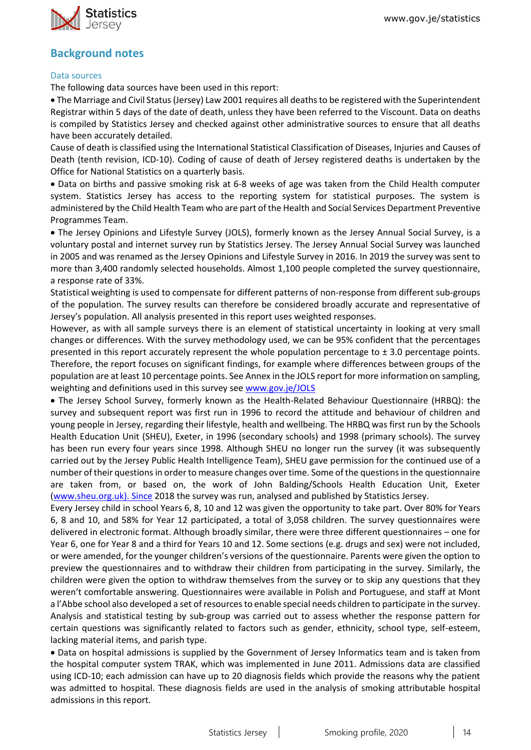

### **Background notes**

#### Data sources

The following data sources have been used in this report:

• The Marriage and Civil Status (Jersey) Law 2001 requires all deaths to be registered with the Superintendent Registrar within 5 days of the date of death, unless they have been referred to the Viscount. Data on deaths is compiled by Statistics Jersey and checked against other administrative sources to ensure that all deaths have been accurately detailed.

Cause of death is classified using the International Statistical Classification of Diseases, Injuries and Causes of Death (tenth revision, ICD-10). Coding of cause of death of Jersey registered deaths is undertaken by the Office for National Statistics on a quarterly basis.

• Data on births and passive smoking risk at 6-8 weeks of age was taken from the Child Health computer system. Statistics Jersey has access to the reporting system for statistical purposes. The system is administered by the Child Health Team who are part of the Health and Social Services Department Preventive Programmes Team.

• The Jersey Opinions and Lifestyle Survey (JOLS), formerly known as the Jersey Annual Social Survey, is a voluntary postal and internet survey run by Statistics Jersey. The Jersey Annual Social Survey was launched in 2005 and was renamed as the Jersey Opinions and Lifestyle Survey in 2016. In 2019 the survey was sent to more than 3,400 randomly selected households. Almost 1,100 people completed the survey questionnaire, a response rate of 33%.

Statistical weighting is used to compensate for different patterns of non-response from different sub-groups of the population. The survey results can therefore be considered broadly accurate and representative of Jersey's population. All analysis presented in this report uses weighted responses.

However, as with all sample surveys there is an element of statistical uncertainty in looking at very small changes or differences. With the survey methodology used, we can be 95% confident that the percentages presented in this report accurately represent the whole population percentage to  $\pm$  3.0 percentage points. Therefore, the report focuses on significant findings, for example where differences between groups of the population are at least 10 percentage points. See Annex in the JOLS report for more information on sampling, weighting and definitions used in this survey see [www.gov.je/JOLS](http://www.gov.je/JOLS)

• The Jersey School Survey, formerly known as the Health-Related Behaviour Questionnaire (HRBQ): the survey and subsequent report was first run in 1996 to record the attitude and behaviour of children and young people in Jersey, regarding their lifestyle, health and wellbeing. The HRBQ was first run by the Schools Health Education Unit (SHEU), Exeter, in 1996 (secondary schools) and 1998 (primary schools). The survey has been run every four years since 1998. Although SHEU no longer run the survey (it was subsequently carried out by the Jersey Public Health Intelligence Team), SHEU gave permission for the continued use of a number of their questions in order to measure changes over time. Some of the questions in the questionnaire are taken from, or based on, the work of John Balding/Schools Health Education Unit, Exeter (www.sheu.org.uk). Since 2018 the survey was run, analysed and published by Statistics Jersey.

Every Jersey child in school Years 6, 8, 10 and 12 was given the opportunity to take part. Over 80% for Years 6, 8 and 10, and 58% for Year 12 participated, a total of 3,058 children. The survey questionnaires were delivered in electronic format. Although broadly similar, there were three different questionnaires – one for Year 6, one for Year 8 and a third for Years 10 and 12. Some sections (e.g. drugs and sex) were not included, or were amended, for the younger children's versions of the questionnaire. Parents were given the option to preview the questionnaires and to withdraw their children from participating in the survey. Similarly, the children were given the option to withdraw themselves from the survey or to skip any questions that they weren't comfortable answering. Questionnaires were available in Polish and Portuguese, and staff at Mont a l'Abbe school also developed a set of resources to enable special needs children to participate in the survey. Analysis and statistical testing by sub-group was carried out to assess whether the response pattern for certain questions was significantly related to factors such as gender, ethnicity, school type, self-esteem, lacking material items, and parish type.

• Data on hospital admissions is supplied by the Government of Jersey Informatics team and is taken from the hospital computer system TRAK, which was implemented in June 2011. Admissions data are classified using ICD-10; each admission can have up to 20 diagnosis fields which provide the reasons why the patient was admitted to hospital. These diagnosis fields are used in the analysis of smoking attributable hospital admissions in this report.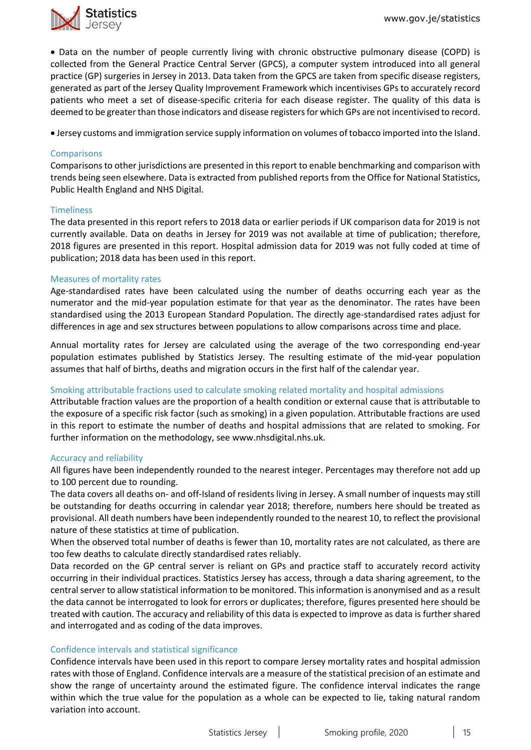

• Data on the number of people currently living with chronic obstructive pulmonary disease (COPD) is collected from the General Practice Central Server (GPCS), a computer system introduced into all general practice (GP) surgeries in Jersey in 2013. Data taken from the GPCS are taken from specific disease registers, generated as part of the Jersey Quality Improvement Framework which incentivises GPs to accurately record patients who meet a set of disease-specific criteria for each disease register. The quality of this data is deemed to be greater than those indicators and disease registers for which GPs are not incentivised to record.

• Jersey customs and immigration service supply information on volumes of tobacco imported into the Island.

#### **Comparisons**

Comparisons to other jurisdictions are presented in this report to enable benchmarking and comparison with trends being seen elsewhere. Data is extracted from published reports from the Office for National Statistics, Public Health England and NHS Digital.

#### **Timeliness**

The data presented in this report refers to 2018 data or earlier periods if UK comparison data for 2019 is not currently available. Data on deaths in Jersey for 2019 was not available at time of publication; therefore, 2018 figures are presented in this report. Hospital admission data for 2019 was not fully coded at time of publication; 2018 data has been used in this report.

#### Measures of mortality rates

Age-standardised rates have been calculated using the number of deaths occurring each year as the numerator and the mid-year population estimate for that year as the denominator. The rates have been standardised using the 2013 European Standard Population. The directly age-standardised rates adjust for differences in age and sex structures between populations to allow comparisons across time and place.

Annual mortality rates for Jersey are calculated using the average of the two corresponding end-year population estimates published by Statistics Jersey. The resulting estimate of the mid-year population assumes that half of births, deaths and migration occurs in the first half of the calendar year.

#### Smoking attributable fractions used to calculate smoking related mortality and hospital admissions

Attributable fraction values are the proportion of a health condition or external cause that is attributable to the exposure of a specific risk factor (such as smoking) in a given population. Attributable fractions are used in this report to estimate the number of deaths and hospital admissions that are related to smoking. For further information on the methodology, see www.nhsdigital.nhs.uk.

#### Accuracy and reliability

All figures have been independently rounded to the nearest integer. Percentages may therefore not add up to 100 percent due to rounding.

The data covers all deaths on- and off-Island of residents living in Jersey. A small number of inquests may still be outstanding for deaths occurring in calendar year 2018; therefore, numbers here should be treated as provisional. All death numbers have been independently rounded to the nearest 10, to reflect the provisional nature of these statistics at time of publication.

When the observed total number of deaths is fewer than 10, mortality rates are not calculated, as there are too few deaths to calculate directly standardised rates reliably.

Data recorded on the GP central server is reliant on GPs and practice staff to accurately record activity occurring in their individual practices. Statistics Jersey has access, through a data sharing agreement, to the central server to allow statistical information to be monitored. This information is anonymised and as a result the data cannot be interrogated to look for errors or duplicates; therefore, figures presented here should be treated with caution. The accuracy and reliability of this data is expected to improve as data is further shared and interrogated and as coding of the data improves.

#### Confidence intervals and statistical significance

Confidence intervals have been used in this report to compare Jersey mortality rates and hospital admission rates with those of England. Confidence intervals are a measure of the statistical precision of an estimate and show the range of uncertainty around the estimated figure. The confidence interval indicates the range within which the true value for the population as a whole can be expected to lie, taking natural random variation into account.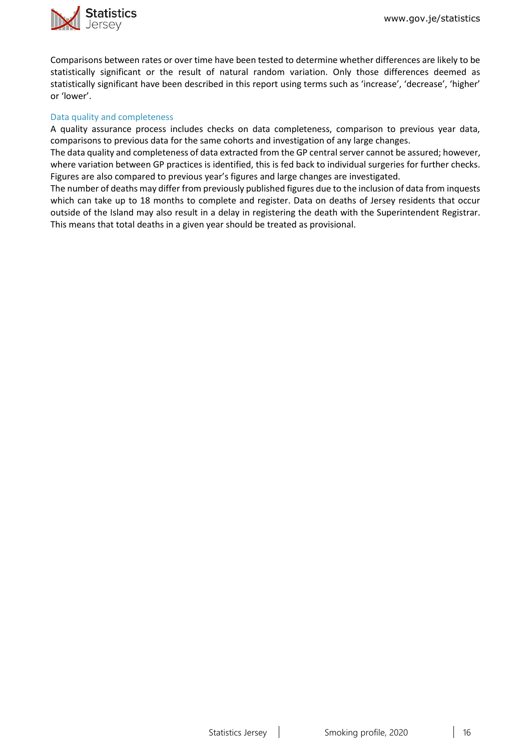

Comparisons between rates or over time have been tested to determine whether differences are likely to be statistically significant or the result of natural random variation. Only those differences deemed as statistically significant have been described in this report using terms such as 'increase', 'decrease', 'higher' or 'lower'.

#### Data quality and completeness

A quality assurance process includes checks on data completeness, comparison to previous year data, comparisons to previous data for the same cohorts and investigation of any large changes.

The data quality and completeness of data extracted from the GP central server cannot be assured; however, where variation between GP practices is identified, this is fed back to individual surgeries for further checks. Figures are also compared to previous year's figures and large changes are investigated.

The number of deaths may differ from previously published figures due to the inclusion of data from inquests which can take up to 18 months to complete and register. Data on deaths of Jersey residents that occur outside of the Island may also result in a delay in registering the death with the Superintendent Registrar. This means that total deaths in a given year should be treated as provisional.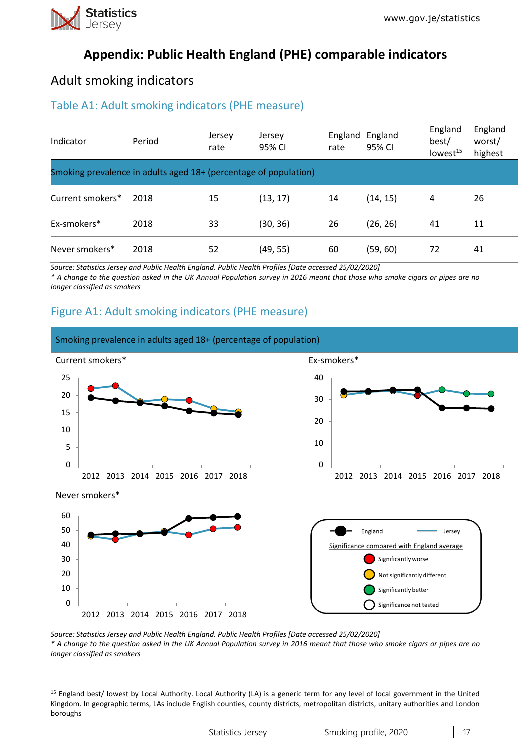

1

# **Appendix: Public Health England (PHE) comparable indicators**

## Adult smoking indicators

### Table A1: Adult smoking indicators (PHE measure)

| Indicator                                                        | Period | Jersey<br>rate | Jersey<br>95% CI | England<br>rate | England<br>95% CI | England<br>best/<br>lowest <sup>15</sup> | England<br>worst/<br>highest |
|------------------------------------------------------------------|--------|----------------|------------------|-----------------|-------------------|------------------------------------------|------------------------------|
| Smoking prevalence in adults aged 18+ (percentage of population) |        |                |                  |                 |                   |                                          |                              |
| Current smokers*                                                 | 2018   | 15             | (13, 17)         | 14              | (14, 15)          | 4                                        | 26                           |
| Ex-smokers*                                                      | 2018   | 33             | (30, 36)         | 26              | (26, 26)          | 41                                       | 11                           |
| Never smokers*                                                   | 2018   | 52             | (49, 55)         | 60              | (59, 60)          | 72                                       | 41                           |

*Source: Statistics Jersey and Public Health England. Public Health Profiles [Date accessed 25/02/2020] \* A change to the question asked in the UK Annual Population survey in 2016 meant that those who smoke cigars or pipes are no longer classified as smokers* 

### Figure A1: Adult smoking indicators (PHE measure)



*Source: Statistics Jersey and Public Health England. Public Health Profiles [Date accessed 25/02/2020] \* A change to the question asked in the UK Annual Population survey in 2016 meant that those who smoke cigars or pipes are no longer classified as smokers*

<sup>&</sup>lt;sup>15</sup> England best/ lowest by Local Authority. Local Authority (LA) is a generic term for any level of local government in the United Kingdom. In geographic terms, LAs include English counties, county districts, metropolitan districts, unitary authorities and London boroughs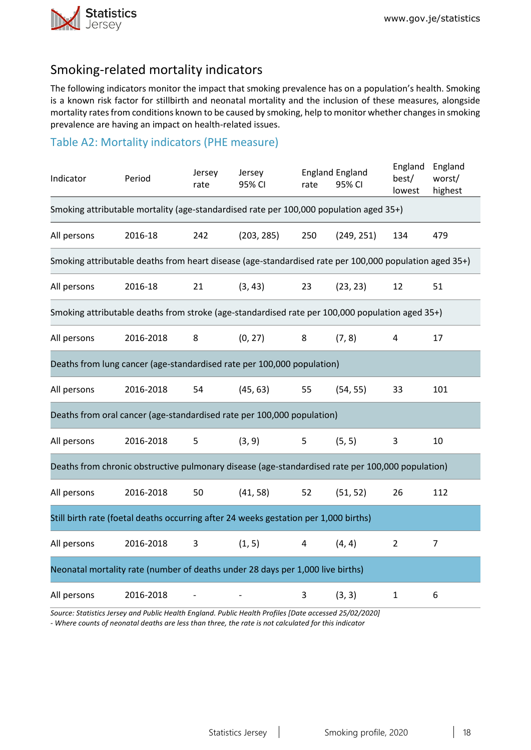

# Smoking-related mortality indicators

The following indicators monitor the impact that smoking prevalence has on a population's health. Smoking is a known risk factor for stillbirth and neonatal mortality and the inclusion of these measures, alongside mortality rates from conditions known to be caused by smoking, help to monitor whether changes in smoking prevalence are having an impact on health-related issues.

### Table A2: Mortality indicators (PHE measure)

| Indicator                                                                                              | Period                                                                                 | Jersey<br>rate | Jersey<br>95% CI | rate | <b>England England</b><br>95% CI | England<br>best/<br>lowest | England<br>worst/<br>highest |  |
|--------------------------------------------------------------------------------------------------------|----------------------------------------------------------------------------------------|----------------|------------------|------|----------------------------------|----------------------------|------------------------------|--|
|                                                                                                        | Smoking attributable mortality (age-standardised rate per 100,000 population aged 35+) |                |                  |      |                                  |                            |                              |  |
| All persons                                                                                            | 2016-18                                                                                | 242            | (203, 285)       | 250  | (249, 251)                       | 134                        | 479                          |  |
| Smoking attributable deaths from heart disease (age-standardised rate per 100,000 population aged 35+) |                                                                                        |                |                  |      |                                  |                            |                              |  |
| All persons                                                                                            | 2016-18                                                                                | 21             | (3, 43)          | 23   | (23, 23)                         | 12                         | 51                           |  |
| Smoking attributable deaths from stroke (age-standardised rate per 100,000 population aged 35+)        |                                                                                        |                |                  |      |                                  |                            |                              |  |
| All persons                                                                                            | 2016-2018                                                                              | 8              | (0, 27)          | 8    | (7, 8)                           | 4                          | 17                           |  |
| Deaths from lung cancer (age-standardised rate per 100,000 population)                                 |                                                                                        |                |                  |      |                                  |                            |                              |  |
| All persons                                                                                            | 2016-2018                                                                              | 54             | (45, 63)         | 55   | (54, 55)                         | 33                         | 101                          |  |
| Deaths from oral cancer (age-standardised rate per 100,000 population)                                 |                                                                                        |                |                  |      |                                  |                            |                              |  |
| All persons                                                                                            | 2016-2018                                                                              | 5              | (3, 9)           | 5    | (5, 5)                           | 3                          | 10                           |  |
| Deaths from chronic obstructive pulmonary disease (age-standardised rate per 100,000 population)       |                                                                                        |                |                  |      |                                  |                            |                              |  |
| All persons                                                                                            | 2016-2018                                                                              | 50             | (41, 58)         | 52   | (51, 52)                         | 26                         | 112                          |  |
| Still birth rate (foetal deaths occurring after 24 weeks gestation per 1,000 births)                   |                                                                                        |                |                  |      |                                  |                            |                              |  |
| All persons                                                                                            | 2016-2018                                                                              | 3              | (1, 5)           | 4    | (4, 4)                           | $\overline{2}$             | $\overline{7}$               |  |
| Neonatal mortality rate (number of deaths under 28 days per 1,000 live births)                         |                                                                                        |                |                  |      |                                  |                            |                              |  |
| All persons                                                                                            | 2016-2018                                                                              |                |                  | 3    | (3, 3)                           | $\mathbf{1}$               | 6                            |  |

*Source: Statistics Jersey and Public Health England. Public Health Profiles [Date accessed 25/02/2020] - Where counts of neonatal deaths are less than three, the rate is not calculated for this indicator*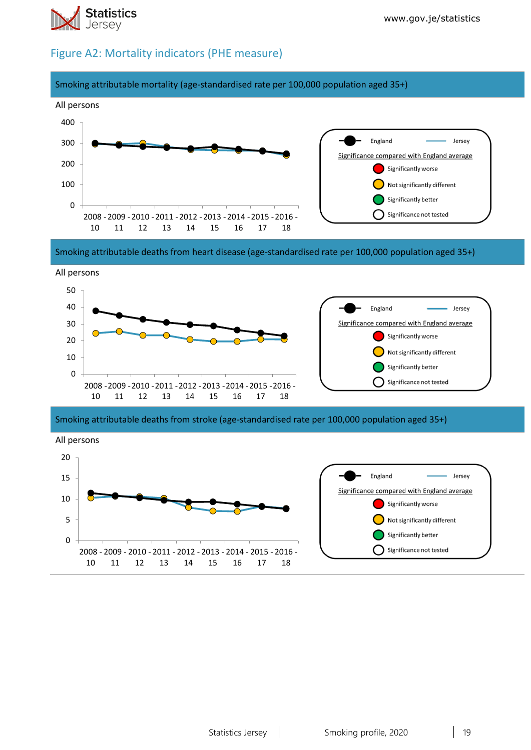

### Figure A2: Mortality indicators (PHE measure)



Smoking attributable deaths from heart disease (age-standardised rate per 100,000 population aged 35+)



Smoking attributable deaths from stroke (age-standardised rate per 100,000 population aged 35+)

All persons



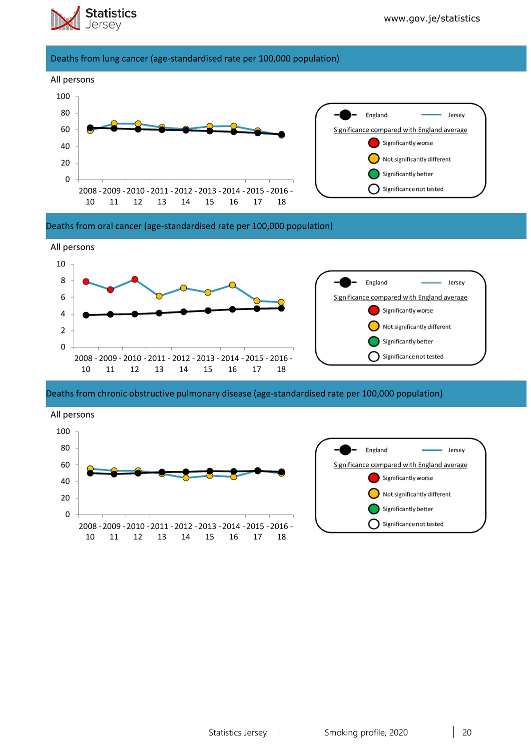

#### Deaths from lung cancer (age-standardised rate per 100,000 population)



#### Deaths from oral cancer (age-standardised rate per 100,000 population)



#### Deaths from chronic obstructive pulmonary disease (age-standardised rate per 100,000 population)

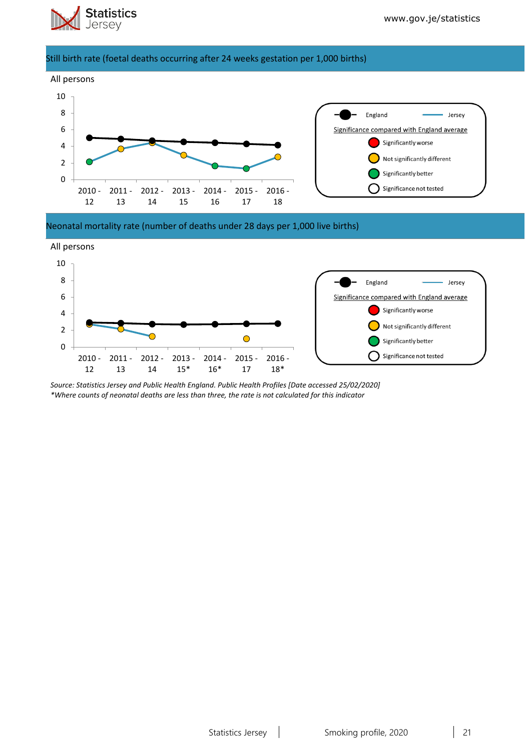

#### Still birth rate (foetal deaths occurring after 24 weeks gestation per 1,000 births)



Neonatal mortality rate (number of deaths under 28 days per 1,000 live births)



*Source: Statistics Jersey and Public Health England. Public Health Profiles [Date accessed 25/02/2020] \*Where counts of neonatal deaths are less than three, the rate is not calculated for this indicator*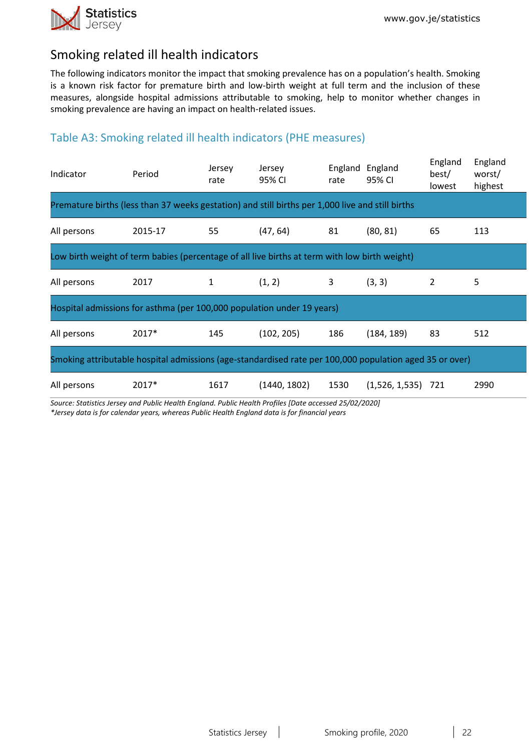

# Smoking related ill health indicators

The following indicators monitor the impact that smoking prevalence has on a population's health. Smoking is a known risk factor for premature birth and low-birth weight at full term and the inclusion of these measures, alongside hospital admissions attributable to smoking, help to monitor whether changes in smoking prevalence are having an impact on health-related issues.

### Table A3: Smoking related ill health indicators (PHE measures)

| Indicator                                                                                               | Period                                                                 | Jersey<br>rate | Jersey<br>95% CI | England<br>rate | England<br>95% CI | England<br>best/<br>lowest | England<br>worst/<br>highest |  |
|---------------------------------------------------------------------------------------------------------|------------------------------------------------------------------------|----------------|------------------|-----------------|-------------------|----------------------------|------------------------------|--|
| Premature births (less than 37 weeks gestation) and still births per 1,000 live and still births        |                                                                        |                |                  |                 |                   |                            |                              |  |
| All persons                                                                                             | 2015-17                                                                | 55             | (47, 64)         | 81              | (80, 81)          | 65                         | 113                          |  |
| Low birth weight of term babies (percentage of all live births at term with low birth weight)           |                                                                        |                |                  |                 |                   |                            |                              |  |
| All persons                                                                                             | 2017                                                                   | 1              | (1, 2)           | 3               | (3, 3)            | 2                          | 5                            |  |
|                                                                                                         | Hospital admissions for asthma (per 100,000 population under 19 years) |                |                  |                 |                   |                            |                              |  |
| All persons                                                                                             | $2017*$                                                                | 145            | (102, 205)       | 186             | (184, 189)        | 83                         | 512                          |  |
| Smoking attributable hospital admissions (age-standardised rate per 100,000 population aged 35 or over) |                                                                        |                |                  |                 |                   |                            |                              |  |
| All persons                                                                                             | 2017*                                                                  | 1617           | (1440, 1802)     | 1530            | (1,526, 1,535)    | 721                        | 2990                         |  |

*Source: Statistics Jersey and Public Health England. Public Health Profiles [Date accessed 25/02/2020]*

*\*Jersey data is for calendar years, whereas Public Health England data is for financial years*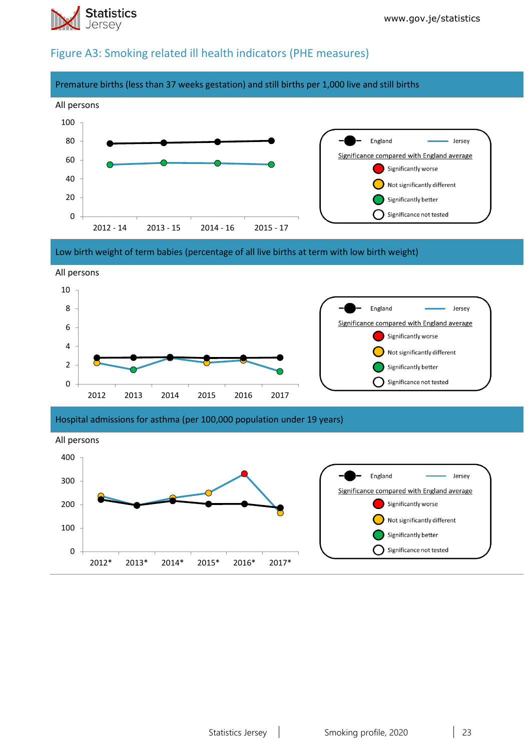

### Figure A3: Smoking related ill health indicators (PHE measures)







Hospital admissions for asthma (per 100,000 population under 19 years)

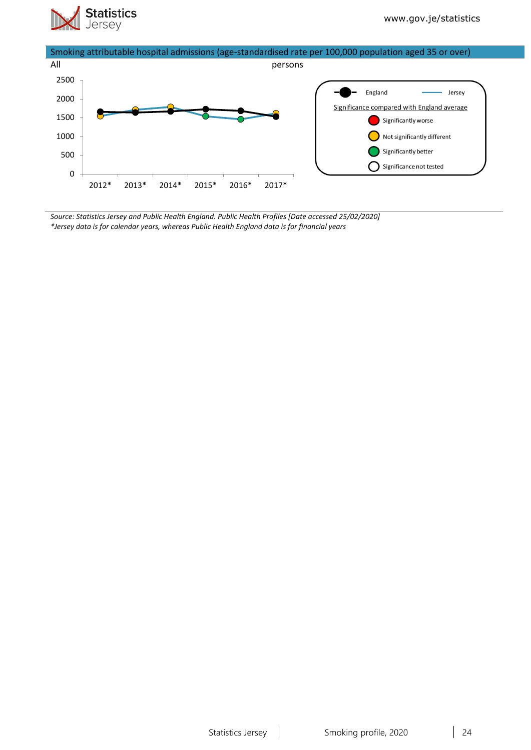



*Source: Statistics Jersey and Public Health England. Public Health Profiles [Date accessed 25/02/2020] \*Jersey data is for calendar years, whereas Public Health England data is for financial years*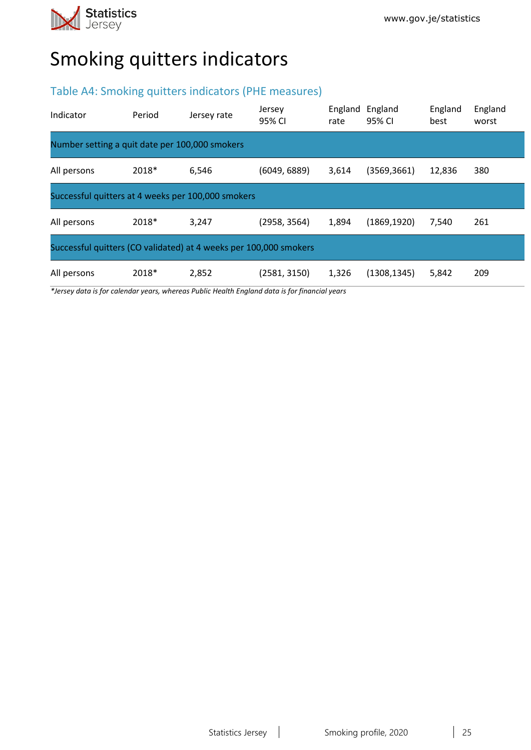

# Smoking quitters indicators

### Table A4: Smoking quitters indicators (PHE measures)

| Indicator                                                         | Period | Jersey rate | Jersey<br>95% CI | England<br>rate | England<br>95% CI | England<br>best | England<br>worst |  |
|-------------------------------------------------------------------|--------|-------------|------------------|-----------------|-------------------|-----------------|------------------|--|
| Number setting a quit date per 100,000 smokers                    |        |             |                  |                 |                   |                 |                  |  |
| All persons                                                       | 2018*  | 6,546       | (6049, 6889)     | 3,614           | (3569, 3661)      | 12,836          | 380              |  |
| Successful quitters at 4 weeks per 100,000 smokers                |        |             |                  |                 |                   |                 |                  |  |
| All persons                                                       | 2018*  | 3,247       | (2958, 3564)     | 1,894           | (1869, 1920)      | 7.540           | 261              |  |
| Successful quitters (CO validated) at 4 weeks per 100,000 smokers |        |             |                  |                 |                   |                 |                  |  |
| All persons                                                       | 2018*  | 2,852       | (2581, 3150)     | 1,326           | (1308, 1345)      | 5,842           | 209              |  |

*\*Jersey data is for calendar years, whereas Public Health England data is for financial years*